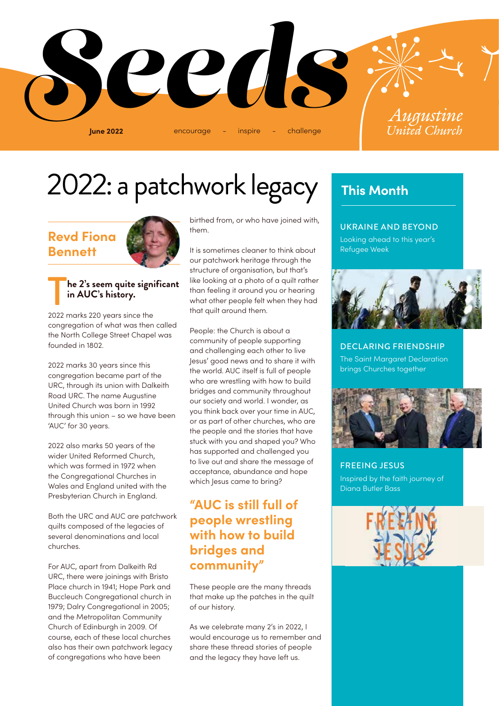

# 2022: a patchwork legacy **This Month**

# **Revd Fiona Bennett**



### T**he 2's seem quite significant in AUC's history.**

2022 marks 220 years since the congregation of what was then called the North College Street Chapel was founded in 1802.

2022 marks 30 years since this congregation became part of the URC, through its union with Dalkeith Road URC. The name Augustine United Church was born in 1992 through this union – so we have been 'AUC' for 30 years.

2022 also marks 50 years of the wider United Reformed Church, which was formed in 1972 when the Congregational Churches in Wales and England united with the Presbyterian Church in England.

Both the URC and AUC are patchwork quilts composed of the legacies of several denominations and local churches.

For AUC, apart from Dalkeith Rd URC, there were joinings with Bristo Place church in 1941; Hope Park and Buccleuch Congregational church in 1979; Dalry Congregational in 2005; and the Metropolitan Community Church of Edinburgh in 2009. Of course, each of these local churches also has their own patchwork legacy of congregations who have been

birthed from, or who have joined with, them.

It is sometimes cleaner to think about our patchwork heritage through the structure of organisation, but that's like looking at a photo of a quilt rather than feeling it around you or hearing what other people felt when they had that quilt around them.

People: the Church is about a community of people supporting and challenging each other to live Jesus' good news and to share it with the world. AUC itself is full of people who are wrestling with how to build bridges and community throughout our society and world. I wonder, as you think back over your time in AUC, or as part of other churches, who are the people and the stories that have stuck with you and shaped you? Who has supported and challenged you to live out and share the message of acceptance, abundance and hope which Jesus came to bring?

## **"AUC is still full of people wrestling with how to build bridges and community"**

These people are the many threads that make up the patches in the quilt of our history.

As we celebrate many 2's in 2022, I would encourage us to remember and share these thread stories of people and the legacy they have left us.

#### UKRAINE AND BEYOND

Looking ahead to this year's Refugee Week



DECLARING FRIENDSHIP The Saint Margaret Declaration brings Churches together



FREEING JESUS Inspired by the faith journey of Diana Butler Bass

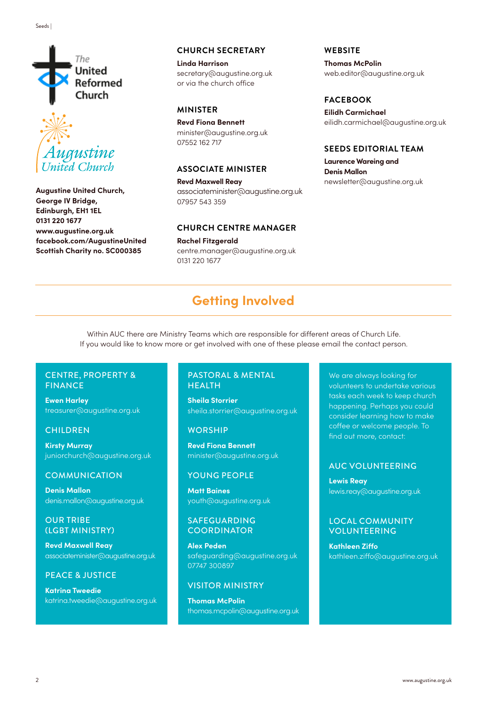



**Augustine United Church, George IV Bridge, Edinburgh, EH1 1EL 0131 220 1677 www.augustine.org.uk facebook.com/AugustineUnited Scottish Charity no. SC000385**

#### **CHURCH SECRETARY**

**Linda Harrison** secretary@augustine.org.uk or via the church office

#### **MINISTER**

**Revd Fiona Bennett** minister@augustine.org.uk 07552 162 717

#### **ASSOCIATE MINISTER**

**Revd Maxwell Reay** associateminister@augustine.org.uk 07957 543 359

#### **CHURCH CENTRE MANAGER**

**Rachel Fitzgerald** centre.manager@augustine.org.uk 0131 220 1677

**WEBSITE**

**Thomas McPolin** web.editor@augustine.org.uk

#### **FACEBOOK**

**Eilidh Carmichael** eilidh.carmichael@augustine.org.uk

#### **SEEDS EDITORIAL TEAM**

**Laurence Wareing and Denis Mallon** newsletter@augustine.org.uk

# **Getting Involved**

Within AUC there are Ministry Teams which are responsible for different areas of Church Life. If you would like to know more or get involved with one of these please email the contact person.

#### CENTRE, PROPERTY & FINANCE

**Ewen Harley**  treasurer@augustine.org.uk

#### **CHILDREN**

**Kirsty Murray** juniorchurch@augustine.org.uk

#### **COMMUNICATION**

**Denis Mallon** denis.mallon@augustine.org.uk

#### OUR TRIBE (LGBT MINISTRY)

**Revd Maxwell Reay** associateminister@augustine.org.uk

#### PEACE & JUSTICE

**Katrina Tweedie** katrina.tweedie@augustine.org.uk

#### PASTORAL & MENTAL HEALTH

**Sheila Storrier**  sheila.storrier@augustine.org.uk

#### **WORSHIP**

**Revd Fiona Bennett** minister@augustine.org.uk

#### YOUNG PEOPLE

**Matt Baines** youth@augustine.org.uk

#### SAFEGUARDING **COORDINATOR**

**Alex Peden** safeguarding@augustine.org.uk 07747 300897

#### VISITOR MINISTRY

**Thomas McPolin** thomas.mcpolin@augustine.org.uk

We are always looking for volunteers to undertake various tasks each week to keep church happening. Perhaps you could consider learning how to make coffee or welcome people. To find out more, contact:

#### AUC VOLUNTEERING

**Lewis Reay**  lewis.reay@augustine.org.uk

#### LOCAL COMMUNITY VOLUNTEERING

**Kathleen Ziffo** kathleen.ziffo@augustine.org.uk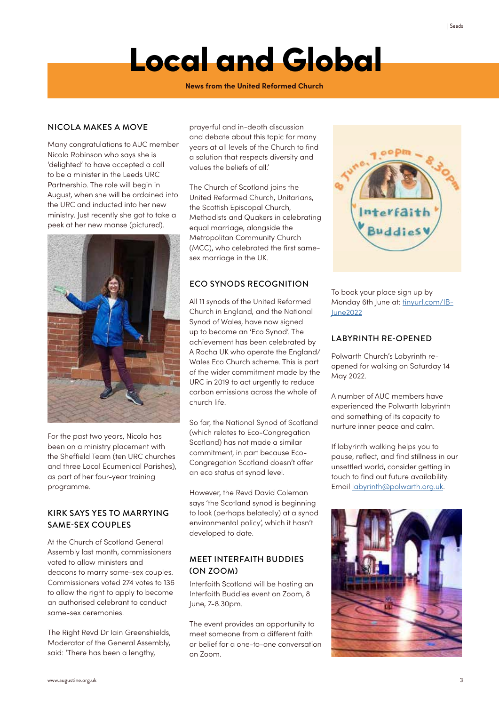#### **News from the United Reformed Church**

#### NICOLA MAKES A MOVE

Many congratulations to AUC member Nicola Robinson who says she is 'delighted' to have accepted a call to be a minister in the Leeds URC Partnership. The role will begin in August, when she will be ordained into the URC and inducted into her new ministry. Just recently she got to take a peek at her new manse (pictured).



For the past two years, Nicola has been on a ministry placement with the Sheffield Team (ten URC churches and three Local Ecumenical Parishes), as part of her four-year training programme.

#### KIRK SAYS YES TO MARRYING SAME-SEX COUPLES

At the Church of Scotland General Assembly last month, commissioners voted to allow ministers and deacons to marry same-sex couples. Commissioners voted 274 votes to 136 to allow the right to apply to become an authorised celebrant to conduct same-sex ceremonies.

The Right Revd Dr Iain Greenshields, Moderator of the General Assembly, said: 'There has been a lengthy,

prayerful and in-depth discussion and debate about this topic for many years at all levels of the Church to find a solution that respects diversity and values the beliefs of all.'

The Church of Scotland joins the United Reformed Church, Unitarians, the Scottish Episcopal Church, Methodists and Quakers in celebrating equal marriage, alongside the Metropolitan Community Church (MCC), who celebrated the first samesex marriage in the UK.

#### ECO SYNODS RECOGNITION

All 11 synods of the United Reformed Church in England, and the National Synod of Wales, have now signed up to become an 'Eco Synod'. The achievement has been celebrated by A Rocha UK who operate the England/ Wales Eco Church scheme. This is part of the wider commitment made by the URC in 2019 to act urgently to reduce carbon emissions across the whole of church life.

So far, the National Synod of Scotland (which relates to Eco-Congregation Scotland) has not made a similar commitment, in part because Eco-Congregation Scotland doesn't offer an eco status at synod level.

However, the Revd David Coleman says 'the Scotland synod is beginning to look (perhaps belatedly) at a synod environmental policy', which it hasn't developed to date.

#### MEET INTERFAITH BUDDIES (ON ZOOM)

Interfaith Scotland will be hosting an Interfaith Buddies event on Zoom, 8 June, 7-8.30pm.

The event provides an opportunity to meet someone from a different faith or belief for a one-to-one conversation on Zoom.



To book your place sign up by Monday 6th June at: tinyurl.com/IB-June2022

#### LABYRINTH RE-OPENED

Polwarth Church's Labyrinth reopened for walking on Saturday 14 May 2022.

A number of AUC members have experienced the Polwarth labyrinth and something of its capacity to nurture inner peace and calm.

If labyrinth walking helps you to pause, reflect, and find stillness in our unsettled world, consider getting in touch to find out future availability. Email labyrinth@polwarth.org.uk.

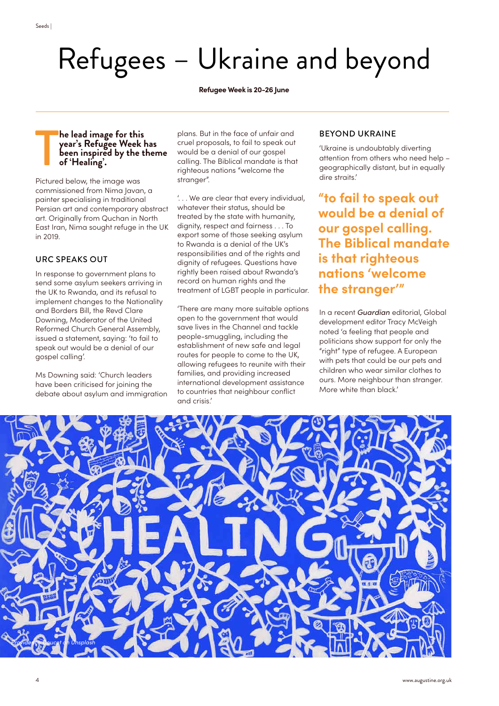Refugees – Ukraine and beyond

**Refugee Week is 20-26 June** 

#### T **he lead image for this year's Refugee Week has been inspired by the theme of 'Healing'.**

Pictured below, the image was commissioned from Nima Javan, a painter specialising in traditional Persian art and contemporary abstract art. Originally from Quchan in North East Iran, Nima sought refuge in the UK in 2019.

#### URC SPEAKS OUT

4

In response to government plans to send some asylum seekers arriving in the UK to Rwanda, and its refusal to implement changes to the Nationality and Borders Bill, the Revd Clare Downing, Moderator of the United Reformed Church General Assembly, issued a statement, saying: 'to fail to speak out would be a denial of our gospel calling'.

Ms Downing said: 'Church leaders have been criticised for joining the debate about asylum and immigration plans. But in the face of unfair and cruel proposals, to fail to speak out would be a denial of our gospel calling. The Biblical mandate is that righteous nations "welcome the stranger".

'. . . We are clear that every individual, whatever their status, should be treated by the state with humanity, dignity, respect and fairness . . . To export some of those seeking asylum to Rwanda is a denial of the UK's responsibilities and of the rights and dignity of refugees. Questions have rightly been raised about Rwanda's record on human rights and the treatment of LGBT people in particular.

'There are many more suitable options open to the government that would save lives in the Channel and tackle people-smuggling, including the establishment of new safe and legal routes for people to come to the UK, allowing refugees to reunite with their families, and providing increased international development assistance to countries that neighbour conflict and crisis.'

#### BEYOND UKRAINE

'Ukraine is undoubtably diverting attention from others who need help – geographically distant, but in equally dire straits.'

**"to fail to speak out would be a denial of our gospel calling. The Biblical mandate is that righteous nations 'welcome the stranger'"**

In a recent *Guardian* editorial, Global development editor Tracy McVeigh noted 'a feeling that people and politicians show support for only the "right" type of refugee. A European with pets that could be our pets and children who wear similar clothes to ours. More neighbour than stranger. More white than black.'

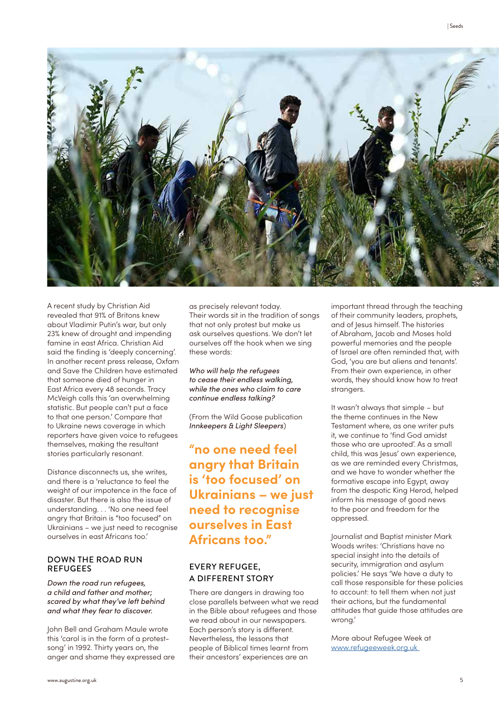

A recent study by Christian Aid revealed that 91% of Britons knew about Vladimir Putin's war, but only 23% knew of drought and impending famine in east Africa. Christian Aid said the finding is 'deeply concerning'. In another recent press release, Oxfam and Save the Children have estimated that someone died of hunger in East Africa every 48 seconds. Tracy McVeigh calls this 'an overwhelming statistic. But people can't put a face to that one person.' Compare that to Ukraine news coverage in which reporters have given voice to refugees themselves, making the resultant stories particularly resonant.

Distance disconnects us, she writes, and there is a 'reluctance to feel the weight of our impotence in the face of disaster. But there is also the issue of understanding. . . 'No one need feel angry that Britain is "too focused" on Ukrainians – we just need to recognise ourselves in east Africans too.'

#### DOWN THE ROAD RUN REFUGEES

*Down the road run refugees, a child and father and mother; scared by what they've left behind and what they fear to discover.*

John Bell and Graham Maule wrote this 'carol is in the form of a protestsong' in 1992. Thirty years on, the anger and shame they expressed are as precisely relevant today. Their words sit in the tradition of songs that not only protest but make us ask ourselves questions. We don't let ourselves off the hook when we sing these words:

*Who will help the refugees to cease their endless walking, while the ones who claim to care continue endless talking?*

(From the Wild Goose publication *Innkeepers & Light Sleepers*)

**"no one need feel angry that Britain is 'too focused' on Ukrainians – we just need to recognise ourselves in East Africans too."**

#### EVERY REFUGEE, A DIFFERENT STORY

There are dangers in drawing too close parallels between what we read in the Bible about refugees and those we read about in our newspapers. Each person's story is different. Nevertheless, the lessons that people of Biblical times learnt from their ancestors' experiences are an

important thread through the teaching of their community leaders, prophets, and of Jesus himself. The histories of Abraham, Jacob and Moses hold powerful memories and the people of Israel are often reminded that, with God, 'you are but aliens and tenants'. From their own experience, in other words, they should know how to treat strangers.

It wasn't always that simple – but the theme continues in the New Testament where, as one writer puts it, we continue to 'find God amidst those who are uprooted'. As a small child, this was Jesus' own experience, as we are reminded every Christmas, and we have to wonder whether the formative escape into Egypt, away from the despotic King Herod, helped inform his message of good news to the poor and freedom for the oppressed.

Journalist and Baptist minister Mark Woods writes: 'Christians have no special insight into the details of security, immigration and asylum policies.' He says 'We have a duty to call those responsible for these policies to account: to tell them when not just their actions, but the fundamental attitudes that guide those attitudes are wrong.'

More about Refugee Week at www.refugeeweek.org.uk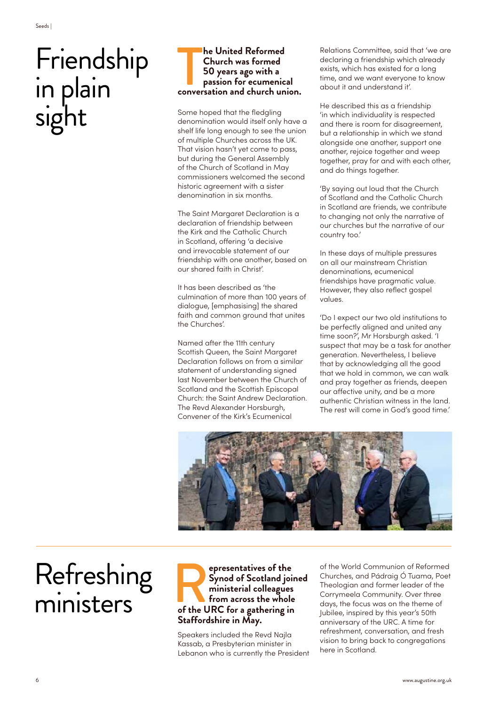# Friendship in plain sight

#### **computed Reformed Church was formed 50 years ago with a passion for ecumenical conversation and church union. he United Reformed Church was formed 50 years ago with a passion for ecumenical**

Some hoped that the fledgling denomination would itself only have a shelf life long enough to see the union of multiple Churches across the UK. That vision hasn't yet come to pass, but during the General Assembly of the Church of Scotland in May commissioners welcomed the second historic agreement with a sister denomination in six months.

The Saint Margaret Declaration is a declaration of friendship between the Kirk and the Catholic Church in Scotland, offering 'a decisive and irrevocable statement of our friendship with one another, based on our shared faith in Christ'.

It has been described as 'the culmination of more than 100 years of dialogue, [emphasising] the shared faith and common ground that unites the Churches'.

Named after the 11th century Scottish Queen, the Saint Margaret Declaration follows on from a similar statement of understanding signed last November between the Church of Scotland and the Scottish Episcopal Church: the Saint Andrew Declaration. The Revd Alexander Horsburgh, Convener of the Kirk's Ecumenical

Relations Committee, said that 'we are declaring a friendship which already exists, which has existed for a long time, and we want everyone to know about it and understand it'.

He described this as a friendship 'in which individuality is respected and there is room for disagreement, but a relationship in which we stand alongside one another, support one another, rejoice together and weep together, pray for and with each other, and do things together.

'By saying out loud that the Church of Scotland and the Catholic Church in Scotland are friends, we contribute to changing not only the narrative of our churches but the narrative of our country too.'

In these days of multiple pressures on all our mainstream Christian denominations, ecumenical friendships have pragmatic value. However, they also reflect gospel values.

'Do I expect our two old institutions to be perfectly aligned and united any time soon?', Mr Horsburgh asked. 'I suspect that may be a task for another generation. Nevertheless, I believe that by acknowledging all the good that we hold in common, we can walk and pray together as friends, deepen our affective unity, and be a more authentic Christian witness in the land. The rest will come in God's good time.'



# Refreshing ministers

### **expresentatives of the Synod of Scotland join** ministerial colleagues from across the whole of the URC for a gathering in **Synod of Scotland joined ministerial colleagues from across the whole Staffordshire in May.**

Speakers included the Revd Najla Kassab, a Presbyterian minister in Lebanon who is currently the President

of the World Communion of Reformed Churches, and Pádraig Ó Tuama, Poet Theologian and former leader of the Corrymeela Community. Over three days, the focus was on the theme of Jubilee, inspired by this year's 50th anniversary of the URC. A time for refreshment, conversation, and fresh vision to bring back to congregations here in Scotland.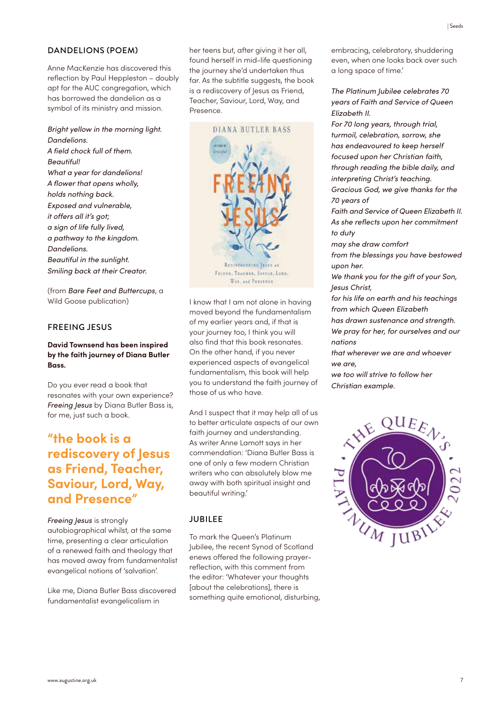#### DANDELIONS (POEM)

Anne MacKenzie has discovered this reflection by Paul Heppleston – doubly apt for the AUC congregation, which has borrowed the dandelion as a symbol of its ministry and mission.

*Bright yellow in the morning light. Dandelions.*

*A field chock full of them. Beautiful! What a year for dandelions! A flower that opens wholly, holds nothing back. Exposed and vulnerable, it offers all it's got; a sign of life fully lived, a pathway to the kingdom. Dandelions. Beautiful in the sunlight. Smiling back at their Creator.*

(from *Bare Feet and Buttercups*, a Wild Goose publication)

#### FREEING JESUS

#### **David Townsend has been inspired by the faith journey of Diana Butler Bass.**

Do you ever read a book that resonates with your own experience? *Freeing Jesus* by Diana Butler Bass is, for me, just such a book.

## **"the book is a rediscovery of Jesus as Friend, Teacher, Saviour, Lord, Way, and Presence"**

*Freeing Jesus* is strongly autobiographical whilst, at the same time, presenting a clear articulation of a renewed faith and theology that has moved away from fundamentalist evangelical notions of 'salvation'.

Like me, Diana Butler Bass discovered fundamentalist evangelicalism in

her teens but, after giving it her all, found herself in mid-life questioning the journey she'd undertaken thus far. As the subtitle suggests, the book is a rediscovery of Jesus as Friend, Teacher, Saviour, Lord, Way, and Presence.



I know that I am not alone in having moved beyond the fundamentalism of my earlier years and, if that is your journey too, I think you will also find that this book resonates. On the other hand, if you never experienced aspects of evangelical fundamentalism, this book will help you to understand the faith journey of those of us who have.

And I suspect that it may help all of us to better articulate aspects of our own faith journey and understanding. As writer Anne Lamott says in her commendation: 'Diana Butler Bass is one of only a few modern Christian writers who can absolutely blow me away with both spiritual insight and beautiful writing.'

#### JUBILEE

To mark the Queen's Platinum Jubilee, the recent Synod of Scotland enews offered the following prayerreflection, with this comment from the editor: 'Whatever your thoughts [about the celebrations], there is something quite emotional, disturbing, embracing, celebratory, shuddering even, when one looks back over such a long space of time.'

*The Platinum Jubilee celebrates 70 years of Faith and Service of Queen Elizabeth II.* 

*For 70 long years, through trial, turmoil, celebration, sorrow, she has endeavoured to keep herself focused upon her Christian faith, through reading the bible daily, and interpreting Christ's teaching. Gracious God, we give thanks for the* 

*70 years of Faith and Service of Queen Elizabeth II.*

*As she reflects upon her commitment to duty*

*may she draw comfort from the blessings you have bestowed upon her.*

*We thank you for the gift of your Son, Jesus Christ,*

*for his life on earth and his teachings from which Queen Elizabeth*

*has drawn sustenance and strength. We pray for her, for ourselves and our nations*

*that wherever we are and whoever we are,*

*we too will strive to follow her Christian example.*